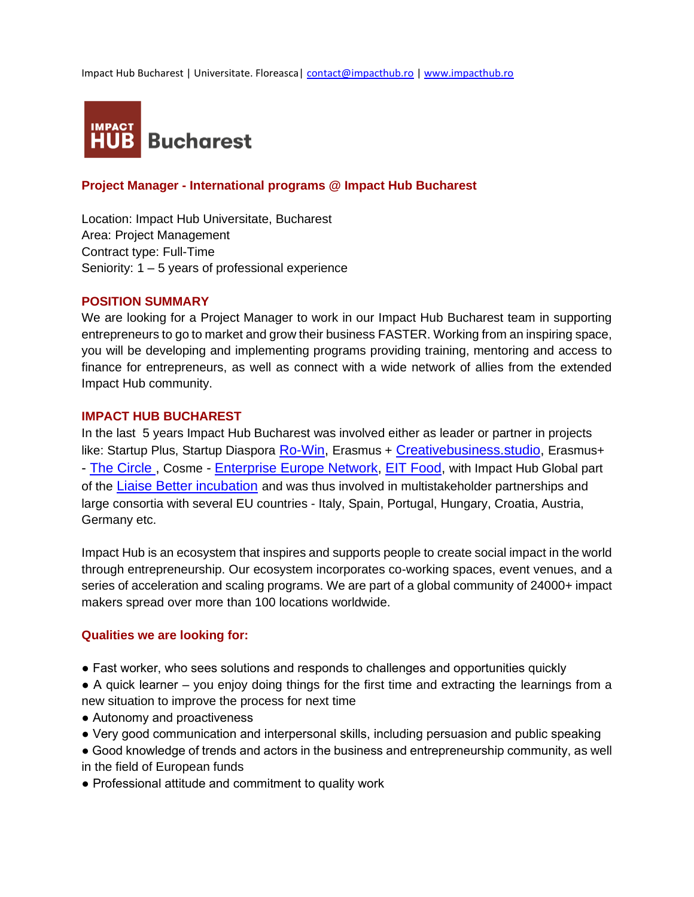Impact Hub Bucharest | Universitate. Floreasca| [contact@impacthub.ro](mailto:contact@impacthub.ro) | www.impacthub.ro



## **Project Manager - International programs @ Impact Hub Bucharest**

Location: Impact Hub Universitate, Bucharest Area: Project Management Contract type: Full-Time Seniority: 1 – 5 years of professional experience

### **POSITION SUMMARY**

We are looking for a Project Manager to work in our Impact Hub Bucharest team in supporting entrepreneurs to go to market and grow their business FASTER. Working from an inspiring space, you will be developing and implementing programs providing training, mentoring and access to finance for entrepreneurs, as well as connect with a wide network of allies from the extended Impact Hub community.

#### **IMPACT HUB BUCHAREST**

In the last 5 years Impact Hub Bucharest was involved either as leader or partner in projects like: Startup Plus, Startup Diaspora [Ro-Win,](https://diaspora.startarium.ro/) Erasmus + [Creativebusiness.studio,](https://creativebusiness.studio/) Erasmus+ - [The Circle](http://jointhecircle.eu/), Cosme - [Enterprise Europe Network,](http://een-romania.ro/prosme/) [EIT Food,](https://www.impacthub.ro/eitfood/) with Impact Hub Global part of the [Liaise Better incubation](http://betterincubation.eu/) and was thus involved in multistakeholder partnerships and large consortia with several EU countries - Italy, Spain, Portugal, Hungary, Croatia, Austria, Germany etc.

Impact Hub is an ecosystem that inspires and supports people to create social impact in the world through entrepreneurship. Our ecosystem incorporates co-working spaces, event venues, and a series of acceleration and scaling programs. We are part of a global community of 24000+ impact makers spread over more than 100 locations worldwide.

### **Qualities we are looking for:**

- Fast worker, who sees solutions and responds to challenges and opportunities quickly
- A quick learner you enjoy doing things for the first time and extracting the learnings from a new situation to improve the process for next time
- Autonomy and proactiveness
- Very good communication and interpersonal skills, including persuasion and public speaking
- Good knowledge of trends and actors in the business and entrepreneurship community, as well in the field of European funds
- Professional attitude and commitment to quality work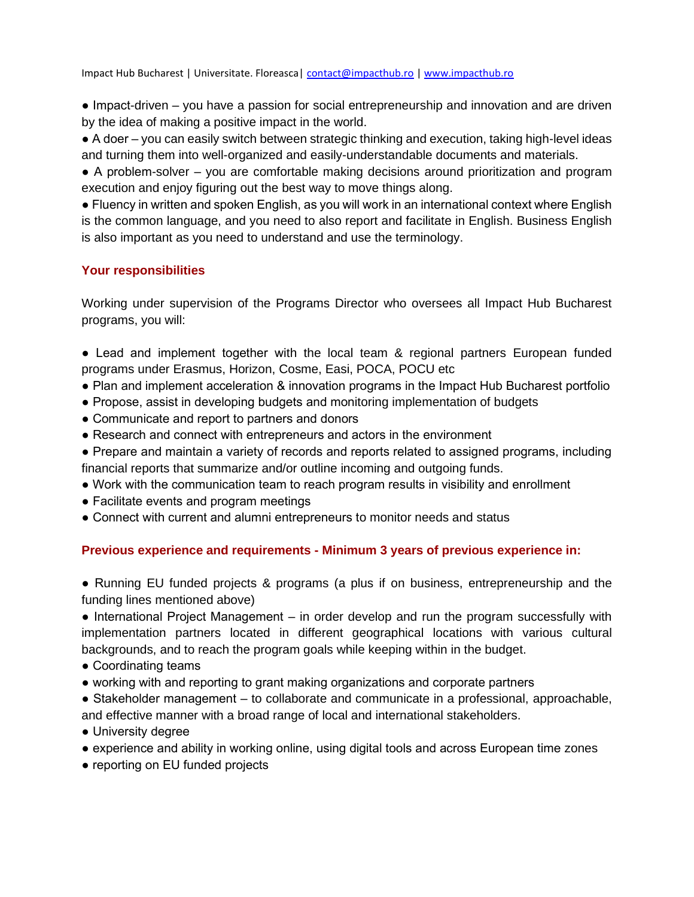Impact Hub Bucharest | Universitate. Floreasca| [contact@impacthub.ro](mailto:contact@impacthub.ro) | www.impacthub.ro

• Impact-driven – you have a passion for social entrepreneurship and innovation and are driven by the idea of making a positive impact in the world.

● A doer – you can easily switch between strategic thinking and execution, taking high-level ideas and turning them into well-organized and easily-understandable documents and materials.

● A problem-solver – you are comfortable making decisions around prioritization and program execution and enjoy figuring out the best way to move things along.

● Fluency in written and spoken English, as you will work in an international context where English is the common language, and you need to also report and facilitate in English. Business English is also important as you need to understand and use the terminology.

## **Your responsibilities**

Working under supervision of the Programs Director who oversees all Impact Hub Bucharest programs, you will:

- Lead and implement together with the local team & regional partners European funded programs under Erasmus, Horizon, Cosme, Easi, POCA, POCU etc
- Plan and implement acceleration & innovation programs in the Impact Hub Bucharest portfolio
- Propose, assist in developing budgets and monitoring implementation of budgets
- Communicate and report to partners and donors
- Research and connect with entrepreneurs and actors in the environment
- Prepare and maintain a variety of records and reports related to assigned programs, including financial reports that summarize and/or outline incoming and outgoing funds.
- Work with the communication team to reach program results in visibility and enrollment
- Facilitate events and program meetings
- Connect with current and alumni entrepreneurs to monitor needs and status

# **Previous experience and requirements - Minimum 3 years of previous experience in:**

• Running EU funded projects & programs (a plus if on business, entrepreneurship and the funding lines mentioned above)

● International Project Management – in order develop and run the program successfully with implementation partners located in different geographical locations with various cultural backgrounds, and to reach the program goals while keeping within in the budget.

- Coordinating teams
- working with and reporting to grant making organizations and corporate partners

● Stakeholder management – to collaborate and communicate in a professional, approachable, and effective manner with a broad range of local and international stakeholders.

- University degree
- experience and ability in working online, using digital tools and across European time zones
- reporting on EU funded projects